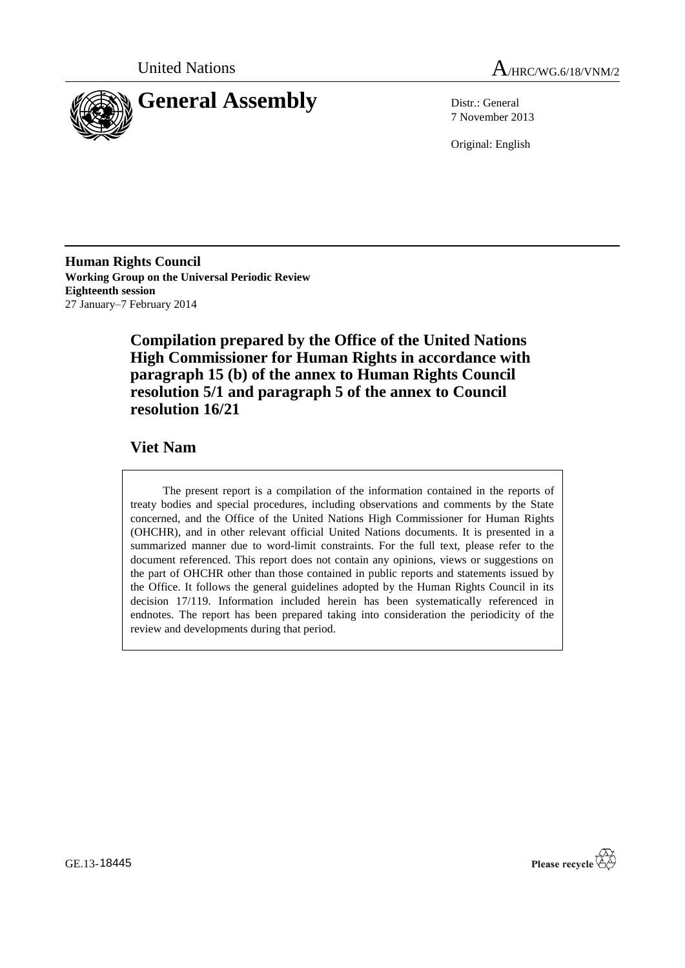



7 November 2013

Original: English

**Human Rights Council Working Group on the Universal Periodic Review Eighteenth session** 27 January–7 February 2014

> **Compilation prepared by the Office of the United Nations High Commissioner for Human Rights in accordance with paragraph 15 (b) of the annex to Human Rights Council resolution 5/1 and paragraph 5 of the annex to Council resolution 16/21**

### **Viet Nam**

The present report is a compilation of the information contained in the reports of treaty bodies and special procedures, including observations and comments by the State concerned, and the Office of the United Nations High Commissioner for Human Rights (OHCHR), and in other relevant official United Nations documents. It is presented in a summarized manner due to word-limit constraints. For the full text, please refer to the document referenced. This report does not contain any opinions, views or suggestions on the part of OHCHR other than those contained in public reports and statements issued by the Office. It follows the general guidelines adopted by the Human Rights Council in its decision 17/119. Information included herein has been systematically referenced in endnotes. The report has been prepared taking into consideration the periodicity of the review and developments during that period.

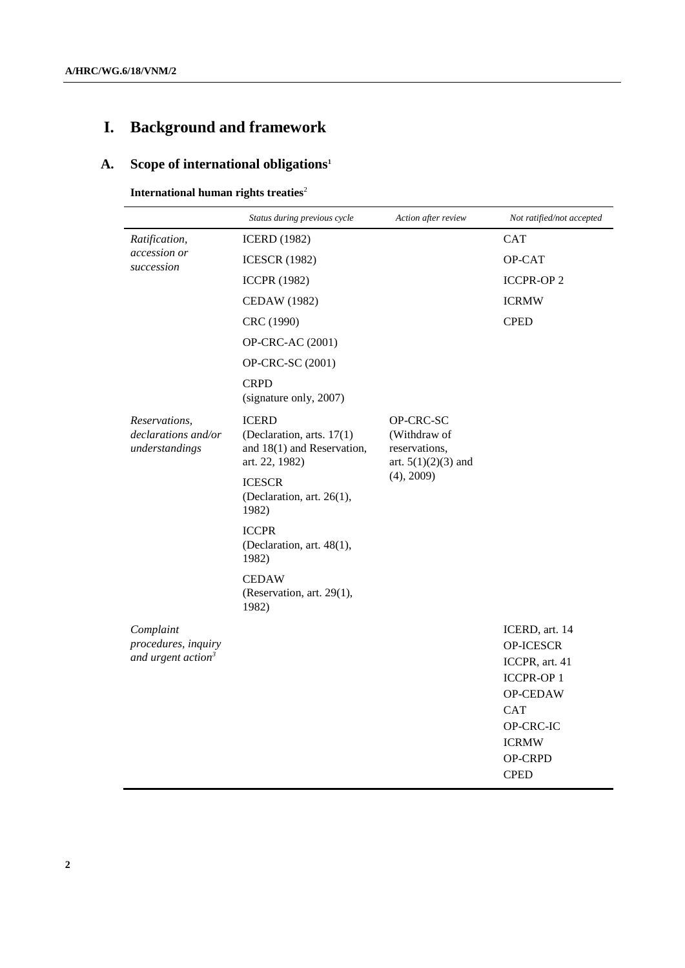# **I. Background and framework**

## **A. Scope of international obligations<sup>1</sup>**

**International human rights treaties**<sup>2</sup>

|                                                                    | Status during previous cycle                                                              | Action after review                                                               | Not ratified/not accepted                                                                                                                          |
|--------------------------------------------------------------------|-------------------------------------------------------------------------------------------|-----------------------------------------------------------------------------------|----------------------------------------------------------------------------------------------------------------------------------------------------|
| Ratification,<br>accession or<br>succession                        | <b>ICERD</b> (1982)                                                                       |                                                                                   | <b>CAT</b>                                                                                                                                         |
|                                                                    | <b>ICESCR (1982)</b>                                                                      |                                                                                   | <b>OP-CAT</b>                                                                                                                                      |
|                                                                    | <b>ICCPR (1982)</b>                                                                       |                                                                                   | <b>ICCPR-OP 2</b>                                                                                                                                  |
|                                                                    | <b>CEDAW</b> (1982)                                                                       |                                                                                   | <b>ICRMW</b>                                                                                                                                       |
|                                                                    | CRC (1990)                                                                                |                                                                                   | <b>CPED</b>                                                                                                                                        |
|                                                                    | OP-CRC-AC (2001)                                                                          |                                                                                   |                                                                                                                                                    |
|                                                                    | OP-CRC-SC (2001)                                                                          |                                                                                   |                                                                                                                                                    |
|                                                                    | <b>CRPD</b><br>(signature only, 2007)                                                     |                                                                                   |                                                                                                                                                    |
| Reservations,<br>declarations and/or<br>understandings             | <b>ICERD</b><br>(Declaration, arts. 17(1)<br>and 18(1) and Reservation,<br>art. 22, 1982) | OP-CRC-SC<br>(Withdraw of<br>reservations,<br>art. $5(1)(2)(3)$ and<br>(4), 2009) |                                                                                                                                                    |
|                                                                    | <b>ICESCR</b><br>(Declaration, art. 26(1),<br>1982)                                       |                                                                                   |                                                                                                                                                    |
|                                                                    | <b>ICCPR</b><br>(Declaration, art. 48(1),<br>1982)                                        |                                                                                   |                                                                                                                                                    |
|                                                                    | <b>CEDAW</b><br>(Reservation, art. 29(1),<br>1982)                                        |                                                                                   |                                                                                                                                                    |
| Complaint<br>procedures, inquiry<br>and urgent action <sup>3</sup> |                                                                                           |                                                                                   | ICERD, art. 14<br>OP-ICESCR<br>ICCPR, art. 41<br><b>ICCPR-OP1</b><br>OP-CEDAW<br><b>CAT</b><br>OP-CRC-IC<br><b>ICRMW</b><br>OP-CRPD<br><b>CPED</b> |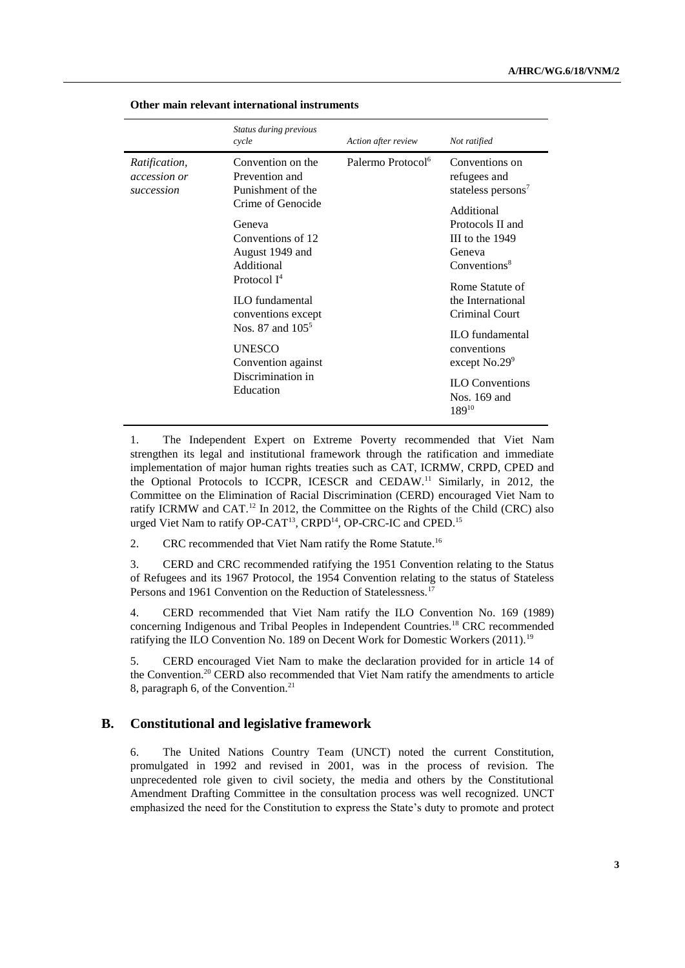|                                                    | Status during previous<br>cycle                                                                                                                                                                                                                                                                                 | Action after review           | Not ratified                                                                                                                                                                                                                                                                                                                                 |
|----------------------------------------------------|-----------------------------------------------------------------------------------------------------------------------------------------------------------------------------------------------------------------------------------------------------------------------------------------------------------------|-------------------------------|----------------------------------------------------------------------------------------------------------------------------------------------------------------------------------------------------------------------------------------------------------------------------------------------------------------------------------------------|
| <i>Ratification,</i><br>accession or<br>succession | Convention on the<br>Prevention and<br>Punishment of the<br>Crime of Genocide<br>Geneva<br>Conventions of 12<br>August 1949 and<br>Additional<br>Protocol $I^4$<br><b>ILO</b> fundamental<br>conventions except<br>Nos. 87 and $105^5$<br><b>UNESCO</b><br>Convention against<br>Discrimination in<br>Education | Palermo Protocol <sup>6</sup> | Conventions on<br>refugees and<br>stateless persons <sup>7</sup><br>Additional<br>Protocols II and<br>III to the $1949$<br>Geneva<br>Conventions <sup>8</sup><br>Rome Statute of<br>the International<br>Criminal Court<br><b>ILO</b> fundamental<br>conventions<br>except $No.29^9$<br><b>ILO</b> Conventions<br>Nos. 169 and<br>$189^{10}$ |

**Other main relevant international instruments**

1. The Independent Expert on Extreme Poverty recommended that Viet Nam strengthen its legal and institutional framework through the ratification and immediate implementation of major human rights treaties such as CAT, ICRMW, CRPD, CPED and the Optional Protocols to ICCPR, ICESCR and CEDAW. <sup>11</sup> Similarly, in 2012, the Committee on the Elimination of Racial Discrimination (CERD) encouraged Viet Nam to ratify ICRMW and CAT.<sup>12</sup> In 2012, the Committee on the Rights of the Child (CRC) also urged Viet Nam to ratify OP-CAT<sup>13</sup>, CRPD<sup>14</sup>, OP-CRC-IC and CPED.<sup>15</sup>

2. CRC recommended that Viet Nam ratify the Rome Statute.<sup>16</sup>

3. CERD and CRC recommended ratifying the 1951 Convention relating to the Status of Refugees and its 1967 Protocol, the 1954 Convention relating to the status of Stateless Persons and 1961 Convention on the Reduction of Statelessness.<sup>17</sup>

4. CERD recommended that Viet Nam ratify the ILO Convention No. 169 (1989) concerning Indigenous and Tribal Peoples in Independent Countries.<sup>18</sup> CRC recommended ratifying the ILO Convention No. 189 on Decent Work for Domestic Workers (2011).<sup>19</sup>

5. CERD encouraged Viet Nam to make the declaration provided for in article 14 of the Convention.<sup>20</sup> CERD also recommended that Viet Nam ratify the amendments to article 8, paragraph 6, of the Convention.<sup>21</sup>

#### **B. Constitutional and legislative framework**

6. The United Nations Country Team (UNCT) noted the current Constitution, promulgated in 1992 and revised in 2001, was in the process of revision. The unprecedented role given to civil society, the media and others by the Constitutional Amendment Drafting Committee in the consultation process was well recognized. UNCT emphasized the need for the Constitution to express the State's duty to promote and protect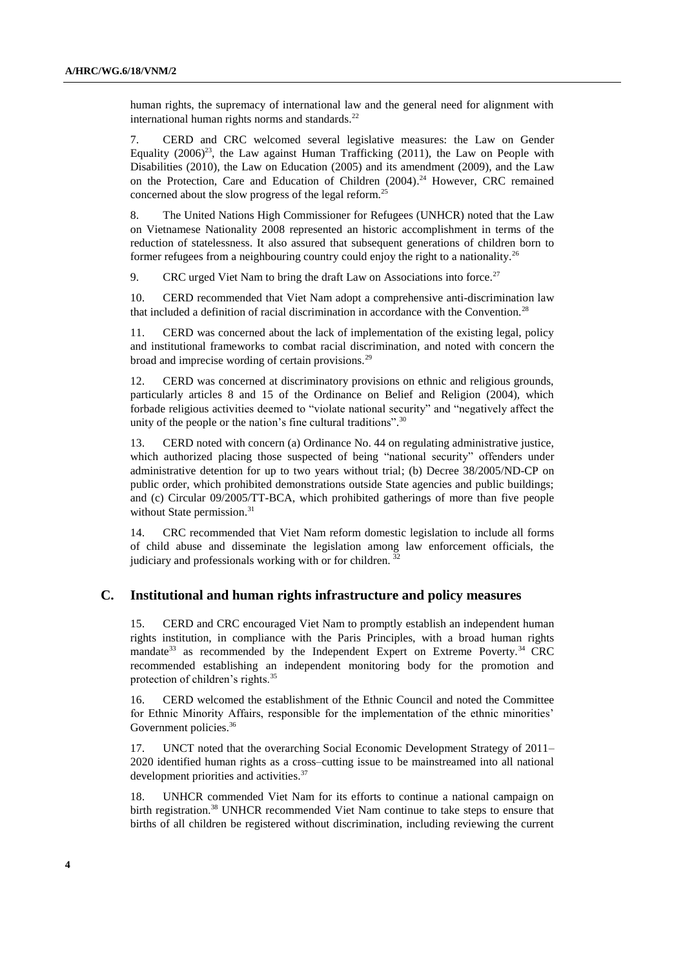human rights, the supremacy of international law and the general need for alignment with international human rights norms and standards. $^{22}$ 

7. CERD and CRC welcomed several legislative measures: the Law on Gender Equality  $(2006)^{23}$ , the Law against Human Trafficking  $(2011)$ , the Law on People with Disabilities (2010), the Law on Education (2005) and its amendment (2009), and the Law on the Protection, Care and Education of Children (2004). <sup>24</sup> However, CRC remained concerned about the slow progress of the legal reform.<sup>25</sup>

8. The United Nations High Commissioner for Refugees (UNHCR) noted that the Law on Vietnamese Nationality 2008 represented an historic accomplishment in terms of the reduction of statelessness. It also assured that subsequent generations of children born to former refugees from a neighbouring country could enjoy the right to a nationality.<sup>26</sup>

9. CRC urged Viet Nam to bring the draft Law on Associations into force.<sup>27</sup>

10. CERD recommended that Viet Nam adopt a comprehensive anti-discrimination law that included a definition of racial discrimination in accordance with the Convention.<sup>28</sup>

11. CERD was concerned about the lack of implementation of the existing legal, policy and institutional frameworks to combat racial discrimination, and noted with concern the broad and imprecise wording of certain provisions.<sup>29</sup>

12. CERD was concerned at discriminatory provisions on ethnic and religious grounds, particularly articles 8 and 15 of the Ordinance on Belief and Religion (2004), which forbade religious activities deemed to "violate national security" and "negatively affect the unity of the people or the nation's fine cultural traditions".<sup>30</sup>

13. CERD noted with concern (a) Ordinance No. 44 on regulating administrative justice, which authorized placing those suspected of being "national security" offenders under administrative detention for up to two years without trial; (b) Decree 38/2005/ND-CP on public order, which prohibited demonstrations outside State agencies and public buildings; and (c) Circular 09/2005/TT-BCA, which prohibited gatherings of more than five people without State permission.<sup>31</sup>

14. CRC recommended that Viet Nam reform domestic legislation to include all forms of child abuse and disseminate the legislation among law enforcement officials, the judiciary and professionals working with or for children.<sup>32</sup>

#### **C. Institutional and human rights infrastructure and policy measures**

15. CERD and CRC encouraged Viet Nam to promptly establish an independent human rights institution, in compliance with the Paris Principles, with a broad human rights mandate<sup>33</sup> as recommended by the Independent Expert on Extreme Poverty.<sup>34</sup> CRC recommended establishing an independent monitoring body for the promotion and protection of children's rights.<sup>35</sup>

16. CERD welcomed the establishment of the Ethnic Council and noted the Committee for Ethnic Minority Affairs, responsible for the implementation of the ethnic minorities' Government policies.<sup>36</sup>

17. UNCT noted that the overarching Social Economic Development Strategy of 2011– 2020 identified human rights as a cross–cutting issue to be mainstreamed into all national development priorities and activities.<sup>37</sup>

18. UNHCR commended Viet Nam for its efforts to continue a national campaign on birth registration.<sup>38</sup> UNHCR recommended Viet Nam continue to take steps to ensure that births of all children be registered without discrimination, including reviewing the current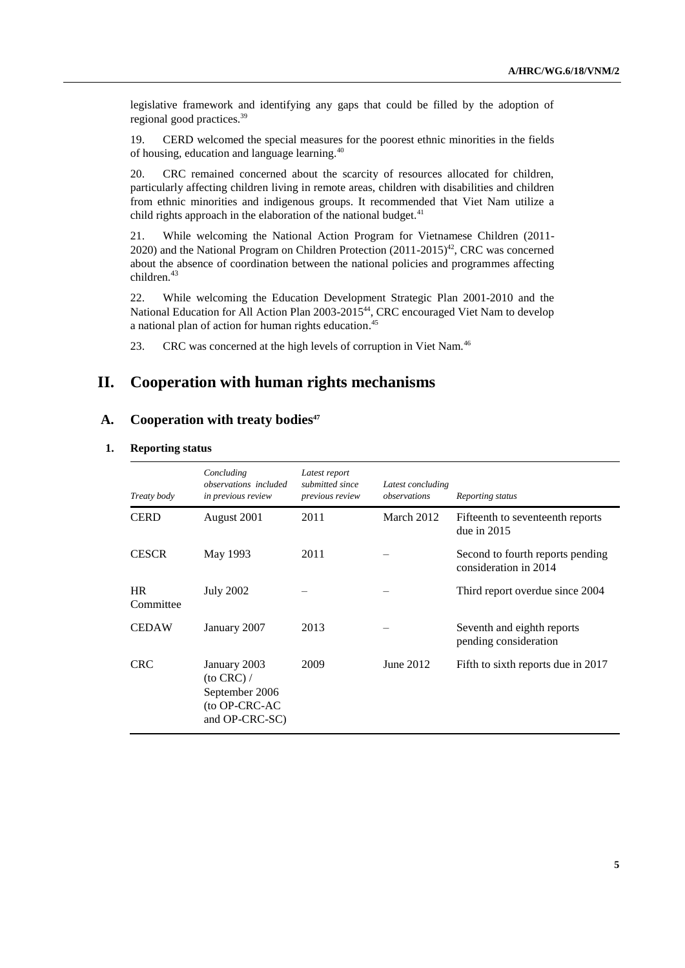legislative framework and identifying any gaps that could be filled by the adoption of regional good practices.<sup>39</sup>

19. CERD welcomed the special measures for the poorest ethnic minorities in the fields of housing, education and language learning.<sup>40</sup>

20. CRC remained concerned about the scarcity of resources allocated for children, particularly affecting children living in remote areas, children with disabilities and children from ethnic minorities and indigenous groups. It recommended that Viet Nam utilize a child rights approach in the elaboration of the national budget. $41$ 

21. While welcoming the National Action Program for Vietnamese Children (2011- 2020) and the National Program on Children Protection  $(2011-2015)^{42}$ , CRC was concerned about the absence of coordination between the national policies and programmes affecting children.<sup>43</sup>

22. While welcoming the Education Development Strategic Plan 2001-2010 and the National Education for All Action Plan 2003-2015<sup>44</sup>, CRC encouraged Viet Nam to develop a national plan of action for human rights education.<sup>45</sup>

23. CRC was concerned at the high levels of corruption in Viet Nam.<sup>46</sup>

### **II. Cooperation with human rights mechanisms**

#### **A. Cooperation with treaty bodies<sup>47</sup>**

#### **1. Reporting status**

| Treaty body            | Concluding<br><i>observations included</i><br>in previous review                      | Latest report<br>submitted since<br>previous review | Latest concluding<br>observations | Reporting status                                          |
|------------------------|---------------------------------------------------------------------------------------|-----------------------------------------------------|-----------------------------------|-----------------------------------------------------------|
| <b>CERD</b>            | August 2001                                                                           | 2011                                                | March 2012                        | Fifteenth to seventeenth reports<br>due in $2015$         |
| <b>CESCR</b>           | May 1993                                                                              | 2011                                                |                                   | Second to fourth reports pending<br>consideration in 2014 |
| <b>HR</b><br>Committee | <b>July 2002</b>                                                                      |                                                     |                                   | Third report overdue since 2004                           |
| <b>CEDAW</b>           | January 2007                                                                          | 2013                                                |                                   | Seventh and eighth reports<br>pending consideration       |
| <b>CRC</b>             | January 2003<br>$($ to CRC $)$ /<br>September 2006<br>(to OP-CRC-AC<br>and OP-CRC-SC) | 2009                                                | June 2012                         | Fifth to sixth reports due in 2017                        |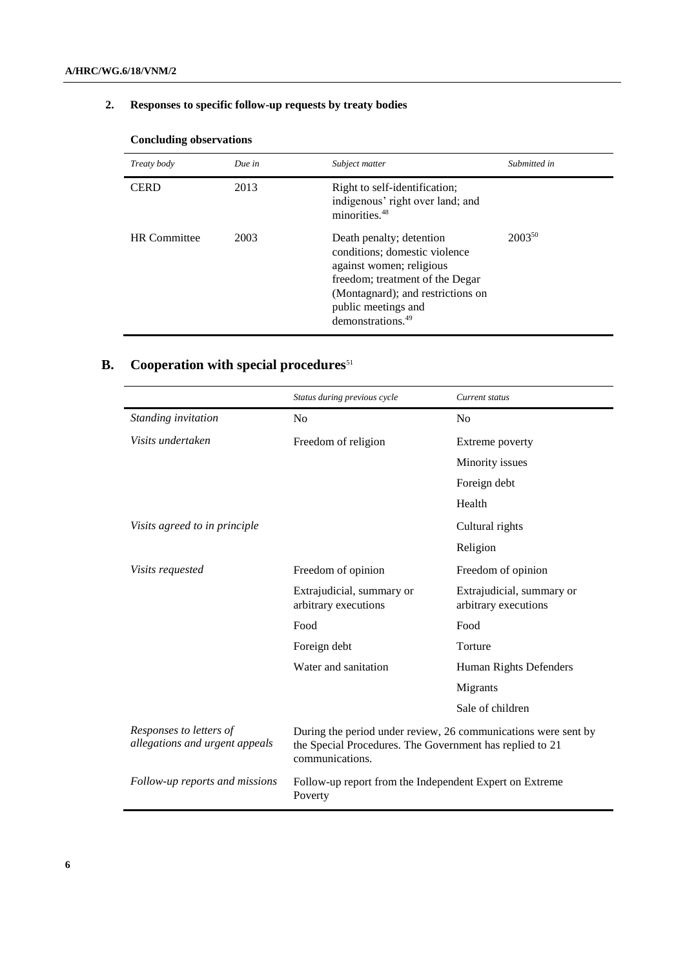## **2. Responses to specific follow-up requests by treaty bodies**

| Treaty body         | Due in | Subject matter                                                                                                                                                                                                        | Submitted in |
|---------------------|--------|-----------------------------------------------------------------------------------------------------------------------------------------------------------------------------------------------------------------------|--------------|
| <b>CERD</b>         | 2013   | Right to self-identification;<br>indigenous' right over land; and<br>minorities. <sup>48</sup>                                                                                                                        |              |
| <b>HR</b> Committee | 2003   | Death penalty; detention<br>conditions; domestic violence<br>against women; religious<br>freedom; treatment of the Degar<br>(Montagnard); and restrictions on<br>public meetings and<br>demonstrations. <sup>49</sup> | $2003^{50}$  |

### **Concluding observations**

## **B.** Cooperation with special procedures<sup>51</sup>

|                                                           | Status during previous cycle                                                                                                                  | Current status                                    |
|-----------------------------------------------------------|-----------------------------------------------------------------------------------------------------------------------------------------------|---------------------------------------------------|
| Standing invitation                                       | N <sub>o</sub>                                                                                                                                | N <sub>0</sub>                                    |
| Visits undertaken                                         | Freedom of religion                                                                                                                           | Extreme poverty                                   |
|                                                           |                                                                                                                                               | Minority issues                                   |
|                                                           |                                                                                                                                               | Foreign debt                                      |
|                                                           |                                                                                                                                               | Health                                            |
| Visits agreed to in principle                             |                                                                                                                                               | Cultural rights                                   |
|                                                           |                                                                                                                                               | Religion                                          |
| <i>Visits requested</i>                                   | Freedom of opinion                                                                                                                            | Freedom of opinion                                |
|                                                           | Extrajudicial, summary or<br>arbitrary executions                                                                                             | Extrajudicial, summary or<br>arbitrary executions |
|                                                           | Food                                                                                                                                          | Food                                              |
|                                                           | Foreign debt                                                                                                                                  | Torture                                           |
|                                                           | Water and sanitation                                                                                                                          | Human Rights Defenders                            |
|                                                           |                                                                                                                                               | Migrants                                          |
|                                                           |                                                                                                                                               | Sale of children                                  |
| Responses to letters of<br>allegations and urgent appeals | During the period under review, 26 communications were sent by<br>the Special Procedures. The Government has replied to 21<br>communications. |                                                   |
| Follow-up reports and missions                            | Follow-up report from the Independent Expert on Extreme<br>Poverty                                                                            |                                                   |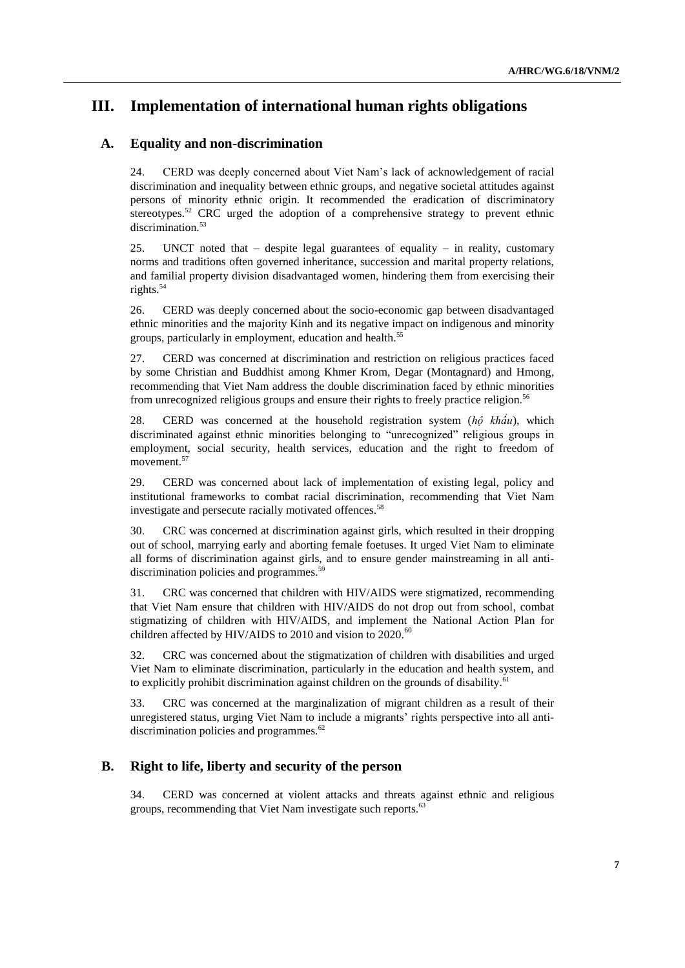## **III. Implementation of international human rights obligations**

#### **A. Equality and non-discrimination**

24. CERD was deeply concerned about Viet Nam's lack of acknowledgement of racial discrimination and inequality between ethnic groups, and negative societal attitudes against persons of minority ethnic origin. It recommended the eradication of discriminatory stereotypes.<sup>52</sup> CRC urged the adoption of a comprehensive strategy to prevent ethnic discrimination. 53

25. UNCT noted that – despite legal guarantees of equality – in reality, customary norms and traditions often governed inheritance, succession and marital property relations, and familial property division disadvantaged women, hindering them from exercising their rights.<sup>54</sup>

26. CERD was deeply concerned about the socio-economic gap between disadvantaged ethnic minorities and the majority Kinh and its negative impact on indigenous and minority groups, particularly in employment, education and health. 55

27. CERD was concerned at discrimination and restriction on religious practices faced by some Christian and Buddhist among Khmer Krom, Degar (Montagnard) and Hmong, recommending that Viet Nam address the double discrimination faced by ethnic minorities from unrecognized religious groups and ensure their rights to freely practice religion.<sup>56</sup>

28. CERD was concerned at the household registration system (*hộ khẩu*), which discriminated against ethnic minorities belonging to "unrecognized" religious groups in employment, social security, health services, education and the right to freedom of movement. 57

29. CERD was concerned about lack of implementation of existing legal, policy and institutional frameworks to combat racial discrimination, recommending that Viet Nam investigate and persecute racially motivated offences.<sup>58</sup>

30. CRC was concerned at discrimination against girls, which resulted in their dropping out of school, marrying early and aborting female foetuses. It urged Viet Nam to eliminate all forms of discrimination against girls, and to ensure gender mainstreaming in all antidiscrimination policies and programmes.<sup>59</sup>

31. CRC was concerned that children with HIV/AIDS were stigmatized, recommending that Viet Nam ensure that children with HIV/AIDS do not drop out from school, combat stigmatizing of children with HIV/AIDS, and implement the National Action Plan for children affected by HIV/AIDS to 2010 and vision to  $2020$ .<sup>60</sup>

32. CRC was concerned about the stigmatization of children with disabilities and urged Viet Nam to eliminate discrimination, particularly in the education and health system, and to explicitly prohibit discrimination against children on the grounds of disability.<sup>61</sup>

33. CRC was concerned at the marginalization of migrant children as a result of their unregistered status, urging Viet Nam to include a migrants' rights perspective into all antidiscrimination policies and programmes.<sup>62</sup>

#### **B. Right to life, liberty and security of the person**

34. CERD was concerned at violent attacks and threats against ethnic and religious groups, recommending that Viet Nam investigate such reports.<sup>63</sup>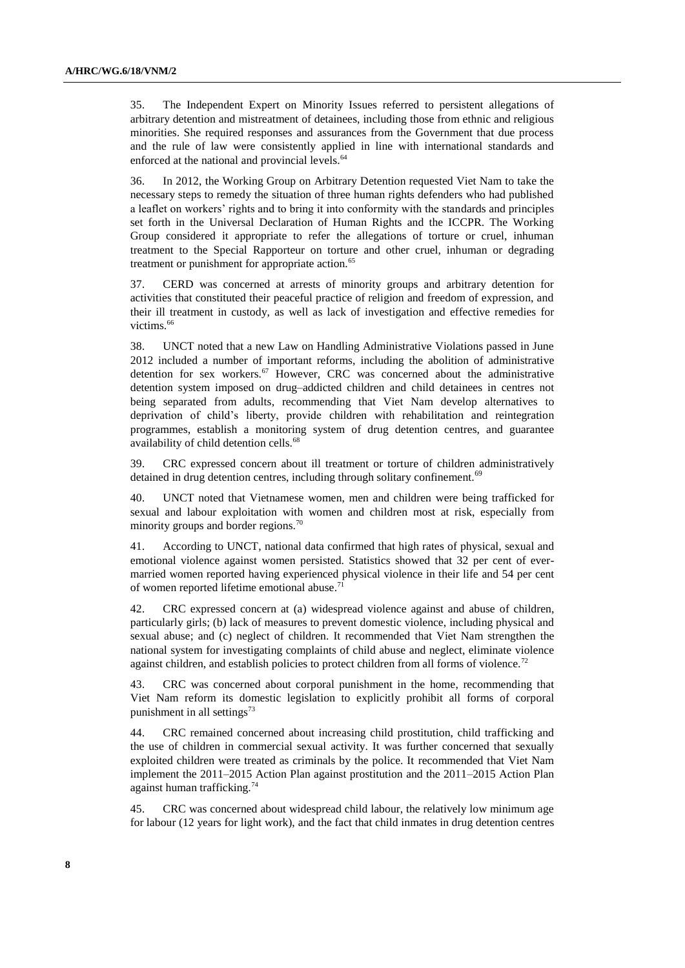35. The Independent Expert on Minority Issues referred to persistent allegations of arbitrary detention and mistreatment of detainees, including those from ethnic and religious minorities. She required responses and assurances from the Government that due process and the rule of law were consistently applied in line with international standards and enforced at the national and provincial levels.<sup>64</sup>

36. In 2012, the Working Group on Arbitrary Detention requested Viet Nam to take the necessary steps to remedy the situation of three human rights defenders who had published a leaflet on workers' rights and to bring it into conformity with the standards and principles set forth in the Universal Declaration of Human Rights and the ICCPR. The Working Group considered it appropriate to refer the allegations of torture or cruel, inhuman treatment to the Special Rapporteur on torture and other cruel, inhuman or degrading treatment or punishment for appropriate action.<sup>65</sup>

37. CERD was concerned at arrests of minority groups and arbitrary detention for activities that constituted their peaceful practice of religion and freedom of expression, and their ill treatment in custody, as well as lack of investigation and effective remedies for victims. 66

38. UNCT noted that a new Law on Handling Administrative Violations passed in June 2012 included a number of important reforms, including the abolition of administrative detention for sex workers.<sup>67</sup> However, CRC was concerned about the administrative detention system imposed on drug–addicted children and child detainees in centres not being separated from adults, recommending that Viet Nam develop alternatives to deprivation of child's liberty, provide children with rehabilitation and reintegration programmes, establish a monitoring system of drug detention centres, and guarantee availability of child detention cells.<sup>68</sup>

39. CRC expressed concern about ill treatment or torture of children administratively detained in drug detention centres, including through solitary confinement.<sup>69</sup>

40. UNCT noted that Vietnamese women, men and children were being trafficked for sexual and labour exploitation with women and children most at risk, especially from minority groups and border regions.<sup>70</sup>

41. According to UNCT, national data confirmed that high rates of physical, sexual and emotional violence against women persisted. Statistics showed that 32 per cent of evermarried women reported having experienced physical violence in their life and 54 per cent of women reported lifetime emotional abuse.<sup>71</sup>

42. CRC expressed concern at (a) widespread violence against and abuse of children, particularly girls; (b) lack of measures to prevent domestic violence, including physical and sexual abuse; and (c) neglect of children. It recommended that Viet Nam strengthen the national system for investigating complaints of child abuse and neglect, eliminate violence against children, and establish policies to protect children from all forms of violence.<sup>72</sup>

43. CRC was concerned about corporal punishment in the home, recommending that Viet Nam reform its domestic legislation to explicitly prohibit all forms of corporal punishment in all settings $73$ 

44. CRC remained concerned about increasing child prostitution, child trafficking and the use of children in commercial sexual activity. It was further concerned that sexually exploited children were treated as criminals by the police. It recommended that Viet Nam implement the 2011–2015 Action Plan against prostitution and the 2011–2015 Action Plan against human trafficking.<sup>74</sup>

45. CRC was concerned about widespread child labour, the relatively low minimum age for labour (12 years for light work), and the fact that child inmates in drug detention centres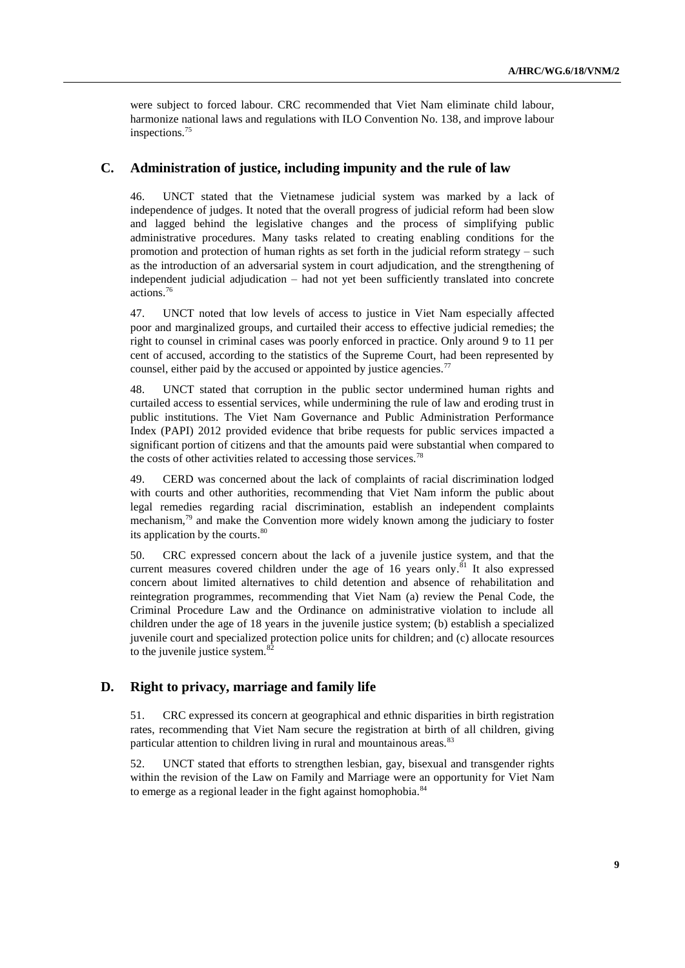were subject to forced labour. CRC recommended that Viet Nam eliminate child labour, harmonize national laws and regulations with ILO Convention No. 138, and improve labour inspections.<sup>75</sup>

#### **C. Administration of justice, including impunity and the rule of law**

46. UNCT stated that the Vietnamese judicial system was marked by a lack of independence of judges. It noted that the overall progress of judicial reform had been slow and lagged behind the legislative changes and the process of simplifying public administrative procedures. Many tasks related to creating enabling conditions for the promotion and protection of human rights as set forth in the judicial reform strategy – such as the introduction of an adversarial system in court adjudication, and the strengthening of independent judicial adjudication – had not yet been sufficiently translated into concrete actions. 76

47. UNCT noted that low levels of access to justice in Viet Nam especially affected poor and marginalized groups, and curtailed their access to effective judicial remedies; the right to counsel in criminal cases was poorly enforced in practice. Only around 9 to 11 per cent of accused, according to the statistics of the Supreme Court, had been represented by counsel, either paid by the accused or appointed by justice agencies.<sup>77</sup>

48. UNCT stated that corruption in the public sector undermined human rights and curtailed access to essential services, while undermining the rule of law and eroding trust in public institutions. The Viet Nam Governance and Public Administration Performance Index (PAPI) 2012 provided evidence that bribe requests for public services impacted a significant portion of citizens and that the amounts paid were substantial when compared to the costs of other activities related to accessing those services.<sup>78</sup>

49. CERD was concerned about the lack of complaints of racial discrimination lodged with courts and other authorities, recommending that Viet Nam inform the public about legal remedies regarding racial discrimination, establish an independent complaints mechanism,<sup>79</sup> and make the Convention more widely known among the judiciary to foster its application by the courts.<sup>80</sup>

50. CRC expressed concern about the lack of a juvenile justice system, and that the current measures covered children under the age of 16 years only.<sup>81</sup> It also expressed concern about limited alternatives to child detention and absence of rehabilitation and reintegration programmes, recommending that Viet Nam (a) review the Penal Code, the Criminal Procedure Law and the Ordinance on administrative violation to include all children under the age of 18 years in the juvenile justice system; (b) establish a specialized juvenile court and specialized protection police units for children; and (c) allocate resources to the juvenile justice system. $82$ 

#### **D. Right to privacy, marriage and family life**

51. CRC expressed its concern at geographical and ethnic disparities in birth registration rates, recommending that Viet Nam secure the registration at birth of all children, giving particular attention to children living in rural and mountainous areas.<sup>83</sup>

52. UNCT stated that efforts to strengthen lesbian, gay, bisexual and transgender rights within the revision of the Law on Family and Marriage were an opportunity for Viet Nam to emerge as a regional leader in the fight against homophobia.<sup>84</sup>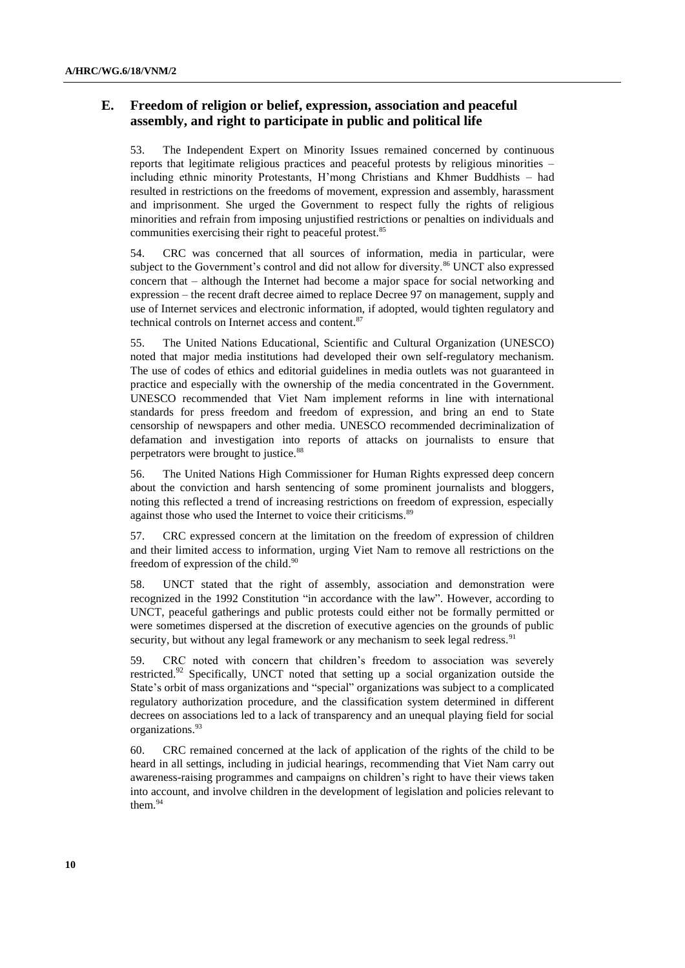#### **E. Freedom of religion or belief, expression, association and peaceful assembly, and right to participate in public and political life**

53. The Independent Expert on Minority Issues remained concerned by continuous reports that legitimate religious practices and peaceful protests by religious minorities – including ethnic minority Protestants, H'mong Christians and Khmer Buddhists – had resulted in restrictions on the freedoms of movement, expression and assembly, harassment and imprisonment. She urged the Government to respect fully the rights of religious minorities and refrain from imposing unjustified restrictions or penalties on individuals and communities exercising their right to peaceful protest.<sup>85</sup>

54. CRC was concerned that all sources of information, media in particular, were subject to the Government's control and did not allow for diversity.<sup>86</sup> UNCT also expressed concern that – although the Internet had become a major space for social networking and expression – the recent draft decree aimed to replace Decree 97 on management, supply and use of Internet services and electronic information, if adopted, would tighten regulatory and technical controls on Internet access and content. 87

55. The United Nations Educational, Scientific and Cultural Organization (UNESCO) noted that major media institutions had developed their own self-regulatory mechanism. The use of codes of ethics and editorial guidelines in media outlets was not guaranteed in practice and especially with the ownership of the media concentrated in the Government. UNESCO recommended that Viet Nam implement reforms in line with international standards for press freedom and freedom of expression, and bring an end to State censorship of newspapers and other media. UNESCO recommended decriminalization of defamation and investigation into reports of attacks on journalists to ensure that perpetrators were brought to justice.<sup>88</sup>

56. The United Nations High Commissioner for Human Rights expressed deep concern about the conviction and harsh sentencing of some prominent journalists and bloggers, noting this reflected a trend of increasing restrictions on freedom of expression, especially against those who used the Internet to voice their criticisms.<sup>89</sup>

57. CRC expressed concern at the limitation on the freedom of expression of children and their limited access to information, urging Viet Nam to remove all restrictions on the freedom of expression of the child.<sup>90</sup>

58. UNCT stated that the right of assembly, association and demonstration were recognized in the 1992 Constitution "in accordance with the law". However, according to UNCT, peaceful gatherings and public protests could either not be formally permitted or were sometimes dispersed at the discretion of executive agencies on the grounds of public security, but without any legal framework or any mechanism to seek legal redress.<sup>91</sup>

59. CRC noted with concern that children's freedom to association was severely restricted. $92$  Specifically, UNCT noted that setting up a social organization outside the State's orbit of mass organizations and "special" organizations was subject to a complicated regulatory authorization procedure, and the classification system determined in different decrees on associations led to a lack of transparency and an unequal playing field for social organizations.<sup>93</sup>

60. CRC remained concerned at the lack of application of the rights of the child to be heard in all settings, including in judicial hearings, recommending that Viet Nam carry out awareness-raising programmes and campaigns on children's right to have their views taken into account, and involve children in the development of legislation and policies relevant to them.<sup>94</sup>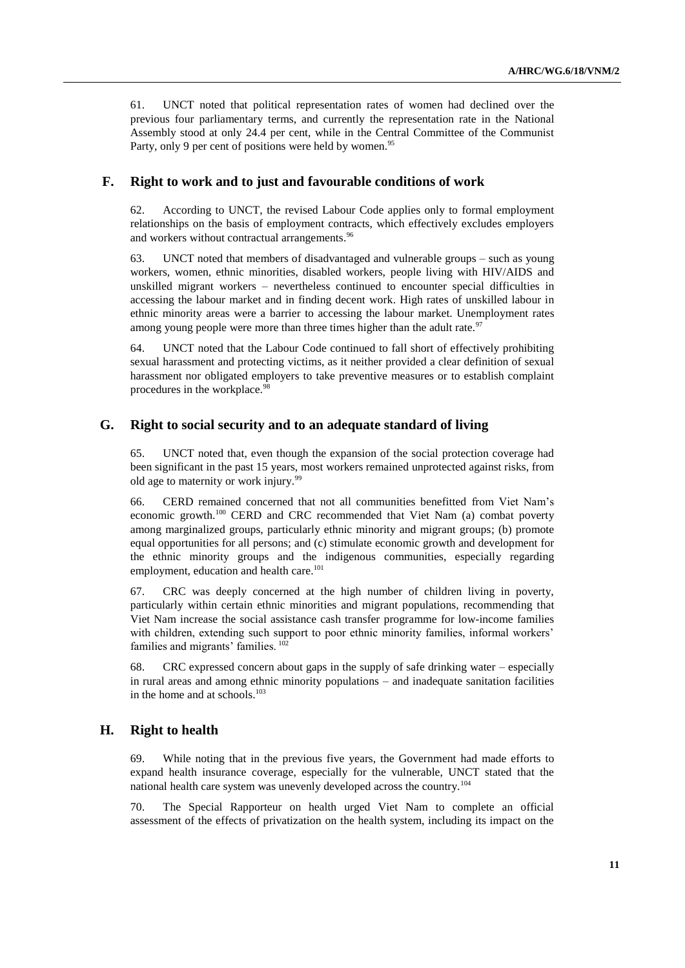61. UNCT noted that political representation rates of women had declined over the previous four parliamentary terms, and currently the representation rate in the National Assembly stood at only 24.4 per cent, while in the Central Committee of the Communist Party, only 9 per cent of positions were held by women.<sup>95</sup>

#### **F. Right to work and to just and favourable conditions of work**

62. According to UNCT, the revised Labour Code applies only to formal employment relationships on the basis of employment contracts, which effectively excludes employers and workers without contractual arrangements.<sup>96</sup>

63. UNCT noted that members of disadvantaged and vulnerable groups – such as young workers, women, ethnic minorities, disabled workers, people living with HIV/AIDS and unskilled migrant workers – nevertheless continued to encounter special difficulties in accessing the labour market and in finding decent work. High rates of unskilled labour in ethnic minority areas were a barrier to accessing the labour market. Unemployment rates among young people were more than three times higher than the adult rate.<sup>97</sup>

64. UNCT noted that the Labour Code continued to fall short of effectively prohibiting sexual harassment and protecting victims, as it neither provided a clear definition of sexual harassment nor obligated employers to take preventive measures or to establish complaint procedures in the workplace.<sup>98</sup>

#### **G. Right to social security and to an adequate standard of living**

65. UNCT noted that, even though the expansion of the social protection coverage had been significant in the past 15 years, most workers remained unprotected against risks, from old age to maternity or work injury.<sup>99</sup>

66. CERD remained concerned that not all communities benefitted from Viet Nam's economic growth.<sup>100</sup> CERD and CRC recommended that Viet Nam (a) combat poverty among marginalized groups, particularly ethnic minority and migrant groups; (b) promote equal opportunities for all persons; and (c) stimulate economic growth and development for the ethnic minority groups and the indigenous communities, especially regarding employment, education and health care.<sup>101</sup>

67. CRC was deeply concerned at the high number of children living in poverty, particularly within certain ethnic minorities and migrant populations, recommending that Viet Nam increase the social assistance cash transfer programme for low-income families with children, extending such support to poor ethnic minority families, informal workers' families and migrants' families.<sup>102</sup>

68. CRC expressed concern about gaps in the supply of safe drinking water – especially in rural areas and among ethnic minority populations – and inadequate sanitation facilities in the home and at schools. 103

#### **H. Right to health**

69. While noting that in the previous five years, the Government had made efforts to expand health insurance coverage, especially for the vulnerable, UNCT stated that the national health care system was unevenly developed across the country.<sup>104</sup>

70. The Special Rapporteur on health urged Viet Nam to complete an official assessment of the effects of privatization on the health system, including its impact on the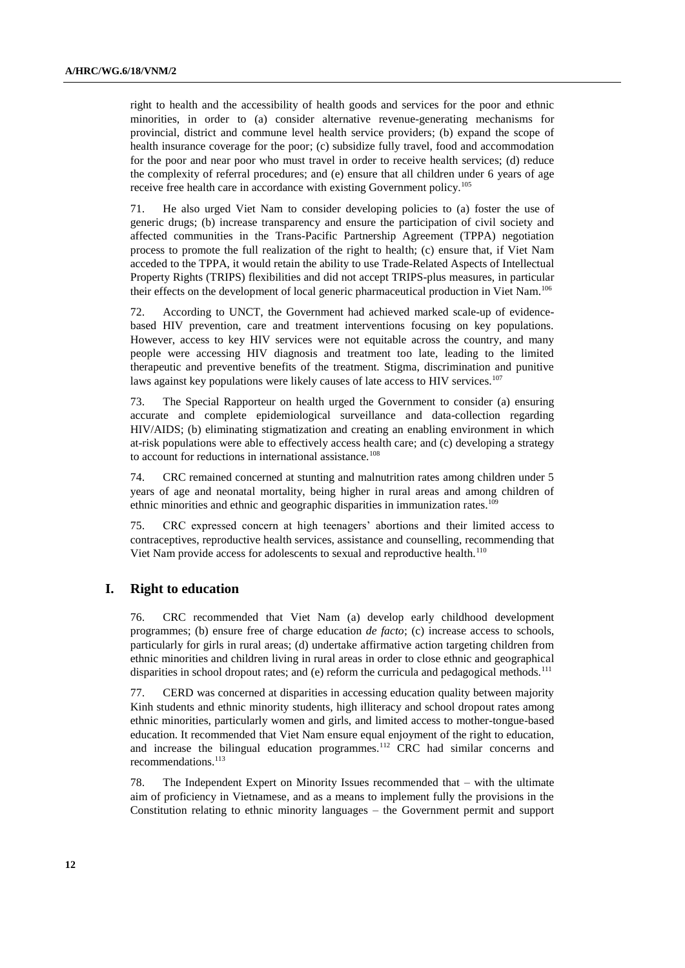right to health and the accessibility of health goods and services for the poor and ethnic minorities, in order to (a) consider alternative revenue-generating mechanisms for provincial, district and commune level health service providers; (b) expand the scope of health insurance coverage for the poor; (c) subsidize fully travel, food and accommodation for the poor and near poor who must travel in order to receive health services; (d) reduce the complexity of referral procedures; and (e) ensure that all children under 6 years of age receive free health care in accordance with existing Government policy.<sup>105</sup>

71. He also urged Viet Nam to consider developing policies to (a) foster the use of generic drugs; (b) increase transparency and ensure the participation of civil society and affected communities in the Trans-Pacific Partnership Agreement (TPPA) negotiation process to promote the full realization of the right to health; (c) ensure that, if Viet Nam acceded to the TPPA, it would retain the ability to use Trade-Related Aspects of Intellectual Property Rights (TRIPS) flexibilities and did not accept TRIPS-plus measures, in particular their effects on the development of local generic pharmaceutical production in Viet Nam.<sup>106</sup>

72. According to UNCT, the Government had achieved marked scale-up of evidencebased HIV prevention, care and treatment interventions focusing on key populations. However, access to key HIV services were not equitable across the country, and many people were accessing HIV diagnosis and treatment too late, leading to the limited therapeutic and preventive benefits of the treatment. Stigma, discrimination and punitive laws against key populations were likely causes of late access to HIV services.<sup>107</sup>

73. The Special Rapporteur on health urged the Government to consider (a) ensuring accurate and complete epidemiological surveillance and data-collection regarding HIV/AIDS; (b) eliminating stigmatization and creating an enabling environment in which at-risk populations were able to effectively access health care; and (c) developing a strategy to account for reductions in international assistance.<sup>108</sup>

74. CRC remained concerned at stunting and malnutrition rates among children under 5 years of age and neonatal mortality, being higher in rural areas and among children of ethnic minorities and ethnic and geographic disparities in immunization rates.<sup>109</sup>

75. CRC expressed concern at high teenagers' abortions and their limited access to contraceptives, reproductive health services, assistance and counselling, recommending that Viet Nam provide access for adolescents to sexual and reproductive health.<sup>110</sup>

#### **I. Right to education**

76. CRC recommended that Viet Nam (a) develop early childhood development programmes; (b) ensure free of charge education *de facto*; (c) increase access to schools, particularly for girls in rural areas; (d) undertake affirmative action targeting children from ethnic minorities and children living in rural areas in order to close ethnic and geographical disparities in school dropout rates; and (e) reform the curricula and pedagogical methods.<sup>111</sup>

77. CERD was concerned at disparities in accessing education quality between majority Kinh students and ethnic minority students, high illiteracy and school dropout rates among ethnic minorities, particularly women and girls, and limited access to mother-tongue-based education. It recommended that Viet Nam ensure equal enjoyment of the right to education, and increase the bilingual education programmes.<sup>112</sup> CRC had similar concerns and recommendations.<sup>113</sup>

78. The Independent Expert on Minority Issues recommended that – with the ultimate aim of proficiency in Vietnamese, and as a means to implement fully the provisions in the Constitution relating to ethnic minority languages – the Government permit and support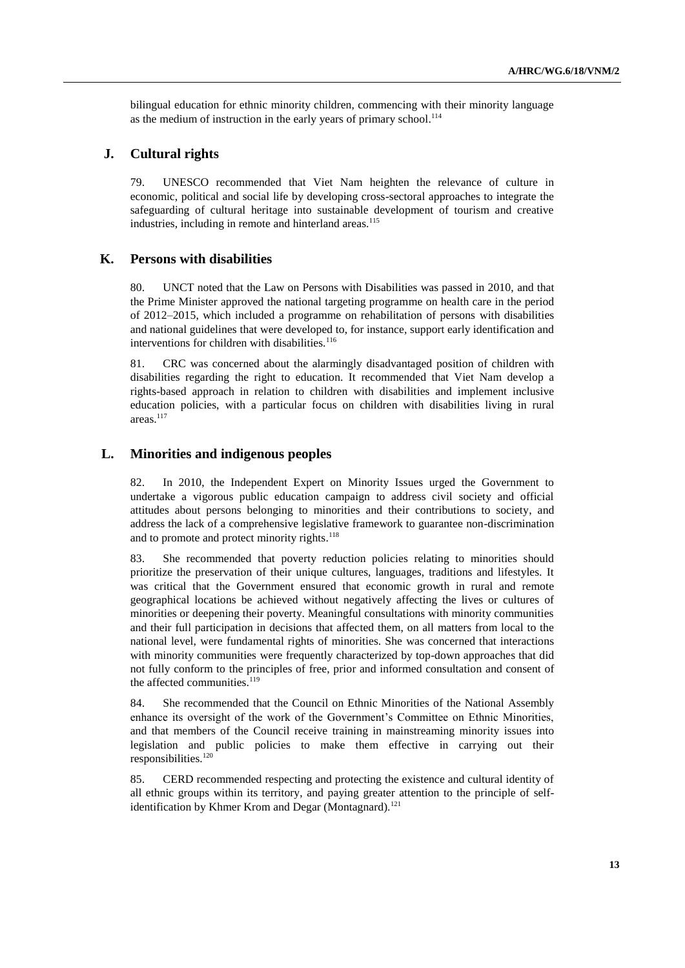bilingual education for ethnic minority children, commencing with their minority language as the medium of instruction in the early years of primary school.<sup>114</sup>

#### **J. Cultural rights**

79. UNESCO recommended that Viet Nam heighten the relevance of culture in economic, political and social life by developing cross-sectoral approaches to integrate the safeguarding of cultural heritage into sustainable development of tourism and creative industries, including in remote and hinterland areas.<sup>115</sup>

#### **K. Persons with disabilities**

80. UNCT noted that the Law on Persons with Disabilities was passed in 2010, and that the Prime Minister approved the national targeting programme on health care in the period of 2012–2015, which included a programme on rehabilitation of persons with disabilities and national guidelines that were developed to, for instance, support early identification and interventions for children with disabilities.<sup>116</sup>

81. CRC was concerned about the alarmingly disadvantaged position of children with disabilities regarding the right to education. It recommended that Viet Nam develop a rights-based approach in relation to children with disabilities and implement inclusive education policies, with a particular focus on children with disabilities living in rural areas.<sup>117</sup>

#### **L. Minorities and indigenous peoples**

82. In 2010, the Independent Expert on Minority Issues urged the Government to undertake a vigorous public education campaign to address civil society and official attitudes about persons belonging to minorities and their contributions to society, and address the lack of a comprehensive legislative framework to guarantee non-discrimination and to promote and protect minority rights.<sup>118</sup>

83. She recommended that poverty reduction policies relating to minorities should prioritize the preservation of their unique cultures, languages, traditions and lifestyles. It was critical that the Government ensured that economic growth in rural and remote geographical locations be achieved without negatively affecting the lives or cultures of minorities or deepening their poverty. Meaningful consultations with minority communities and their full participation in decisions that affected them, on all matters from local to the national level, were fundamental rights of minorities. She was concerned that interactions with minority communities were frequently characterized by top-down approaches that did not fully conform to the principles of free, prior and informed consultation and consent of the affected communities.<sup>119</sup>

84. She recommended that the Council on Ethnic Minorities of the National Assembly enhance its oversight of the work of the Government's Committee on Ethnic Minorities, and that members of the Council receive training in mainstreaming minority issues into legislation and public policies to make them effective in carrying out their responsibilities.<sup>120</sup>

85. CERD recommended respecting and protecting the existence and cultural identity of all ethnic groups within its territory, and paying greater attention to the principle of selfidentification by Khmer Krom and Degar (Montagnard).<sup>121</sup>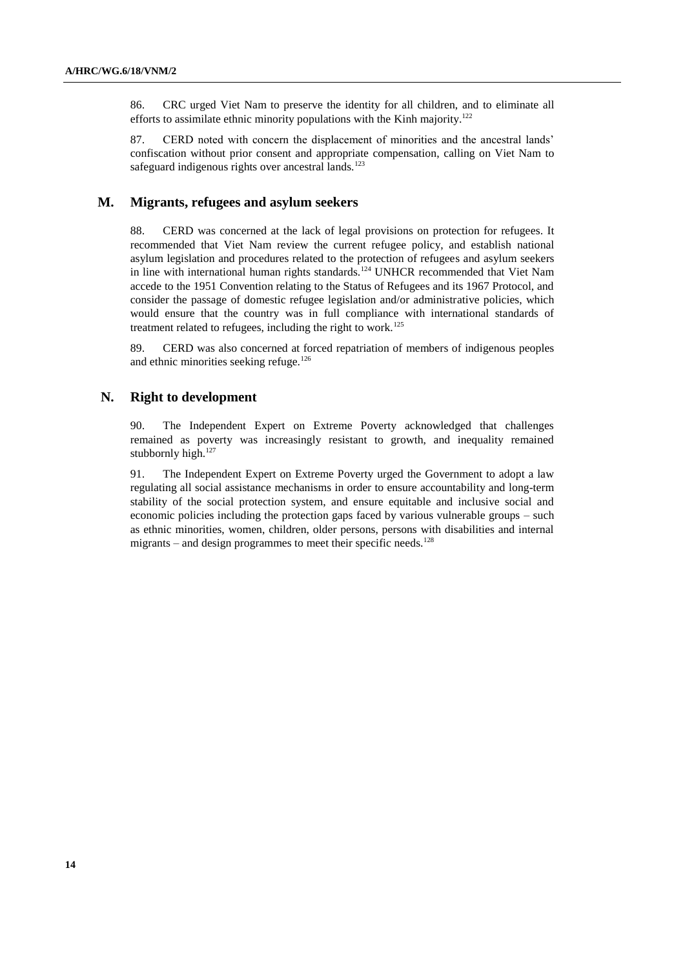86. CRC urged Viet Nam to preserve the identity for all children, and to eliminate all efforts to assimilate ethnic minority populations with the Kinh majority.<sup>122</sup>

87. CERD noted with concern the displacement of minorities and the ancestral lands' confiscation without prior consent and appropriate compensation, calling on Viet Nam to safeguard indigenous rights over ancestral lands.<sup>123</sup>

#### **M. Migrants, refugees and asylum seekers**

88. CERD was concerned at the lack of legal provisions on protection for refugees. It recommended that Viet Nam review the current refugee policy, and establish national asylum legislation and procedures related to the protection of refugees and asylum seekers in line with international human rights standards.<sup>124</sup> UNHCR recommended that Viet Nam accede to the 1951 Convention relating to the Status of Refugees and its 1967 Protocol, and consider the passage of domestic refugee legislation and/or administrative policies, which would ensure that the country was in full compliance with international standards of treatment related to refugees, including the right to work.<sup>125</sup>

89. CERD was also concerned at forced repatriation of members of indigenous peoples and ethnic minorities seeking refuge.<sup>126</sup>

#### **N. Right to development**

90. The Independent Expert on Extreme Poverty acknowledged that challenges remained as poverty was increasingly resistant to growth, and inequality remained stubbornly high.<sup>127</sup>

91. The Independent Expert on Extreme Poverty urged the Government to adopt a law regulating all social assistance mechanisms in order to ensure accountability and long-term stability of the social protection system, and ensure equitable and inclusive social and economic policies including the protection gaps faced by various vulnerable groups – such as ethnic minorities, women, children, older persons, persons with disabilities and internal migrants – and design programmes to meet their specific needs.<sup>128</sup>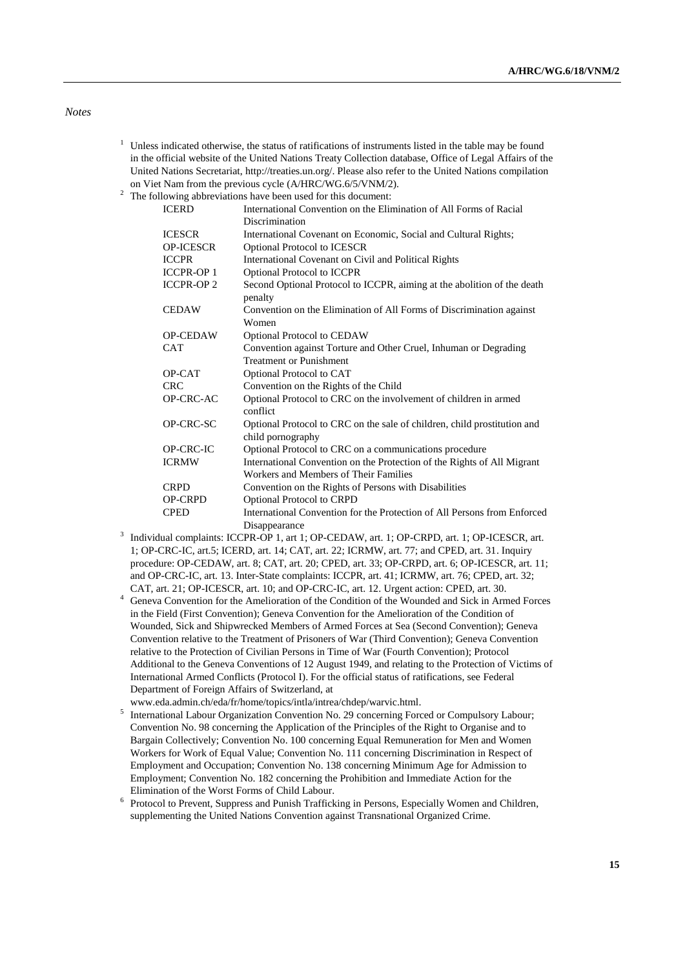#### *Notes*

- $1$  Unless indicated otherwise, the status of ratifications of instruments listed in the table may be found in the official website of the United Nations Treaty Collection database, Office of Legal Affairs of the United Nations Secretariat, [http://treaties.un.org/.](http://treaties.un.org/) Please also refer to the United Nations compilation on Viet Nam from the previous cycle (A/HRC/WG.6/5/VNM/2).
- <sup>2</sup> The following abbreviations have been used for this document:

| <b>ICERD</b>     | $10.000$ mas above a mattern mass $100$ mass $100$ mass $100$<br>International Convention on the Elimination of All Forms of Racial |
|------------------|-------------------------------------------------------------------------------------------------------------------------------------|
|                  | Discrimination                                                                                                                      |
|                  |                                                                                                                                     |
| <b>ICESCR</b>    | International Covenant on Economic, Social and Cultural Rights;                                                                     |
| <b>OP-ICESCR</b> | Optional Protocol to ICESCR                                                                                                         |
| <b>ICCPR</b>     | International Covenant on Civil and Political Rights                                                                                |
| <b>ICCPR-OP1</b> | Optional Protocol to ICCPR                                                                                                          |
| <b>ICCPR-OP2</b> | Second Optional Protocol to ICCPR, aiming at the abolition of the death<br>penalty                                                  |
| <b>CEDAW</b>     | Convention on the Elimination of All Forms of Discrimination against<br>Women                                                       |
| <b>OP-CEDAW</b>  | <b>Optional Protocol to CEDAW</b>                                                                                                   |
| <b>CAT</b>       | Convention against Torture and Other Cruel, Inhuman or Degrading                                                                    |
|                  | <b>Treatment or Punishment</b>                                                                                                      |
| OP-CAT           | Optional Protocol to CAT                                                                                                            |
| <b>CRC</b>       | Convention on the Rights of the Child                                                                                               |
| OP-CRC-AC        | Optional Protocol to CRC on the involvement of children in armed<br>conflict                                                        |
| OP-CRC-SC        | Optional Protocol to CRC on the sale of children, child prostitution and<br>child pornography                                       |
| OP-CRC-IC        | Optional Protocol to CRC on a communications procedure                                                                              |
| <b>ICRMW</b>     | International Convention on the Protection of the Rights of All Migrant                                                             |
|                  | Workers and Members of Their Families                                                                                               |
| <b>CRPD</b>      | Convention on the Rights of Persons with Disabilities                                                                               |
| <b>OP-CRPD</b>   | Optional Protocol to CRPD                                                                                                           |
| <b>CPED</b>      | International Convention for the Protection of All Persons from Enforced                                                            |
|                  | Disappearance                                                                                                                       |

- Disappearance 3 Individual complaints: ICCPR-OP 1, art 1; OP-CEDAW, art. 1; OP-CRPD, art. 1; OP-ICESCR, art. 1; OP-CRC-IC, art.5; ICERD, art. 14; CAT, art. 22; ICRMW, art. 77; and CPED, art. 31. Inquiry procedure: OP-CEDAW, art. 8; CAT, art. 20; CPED, art. 33; OP-CRPD, art. 6; OP-ICESCR, art. 11; and OP-CRC-IC, art. 13. Inter-State complaints: ICCPR, art. 41; ICRMW, art. 76; CPED, art. 32; CAT, art. 21; OP-ICESCR, art. 10; and OP-CRC-IC, art. 12. Urgent action: CPED, art. 30.
- <sup>4</sup> Geneva Convention for the Amelioration of the Condition of the Wounded and Sick in Armed Forces in the Field (First Convention); Geneva Convention for the Amelioration of the Condition of Wounded, Sick and Shipwrecked Members of Armed Forces at Sea (Second Convention); Geneva Convention relative to the Treatment of Prisoners of War (Third Convention); Geneva Convention relative to the Protection of Civilian Persons in Time of War (Fourth Convention); Protocol Additional to the Geneva Conventions of 12 August 1949, and relating to the Protection of Victims of International Armed Conflicts (Protocol I). For the official status of ratifications, see Federal Department of Foreign Affairs of Switzerland, at
- [www.eda.admin.ch/eda/fr/home/topics/intla/intrea/chdep/warvic.html.](http://www.eda.admin.ch/eda/fr/home/topics/intla/intrea/chdep/warvic.html)
- 5 International Labour Organization Convention No. 29 concerning Forced or Compulsory Labour; Convention No. 98 concerning the Application of the Principles of the Right to Organise and to Bargain Collectively; Convention No. 100 concerning Equal Remuneration for Men and Women Workers for Work of Equal Value; Convention No. 111 concerning Discrimination in Respect of Employment and Occupation; Convention No. 138 concerning Minimum Age for Admission to Employment; Convention No. 182 concerning the Prohibition and Immediate Action for the Elimination of the Worst Forms of Child Labour.
- 6 Protocol to Prevent, Suppress and Punish Trafficking in Persons, Especially Women and Children, supplementing the United Nations Convention against Transnational Organized Crime.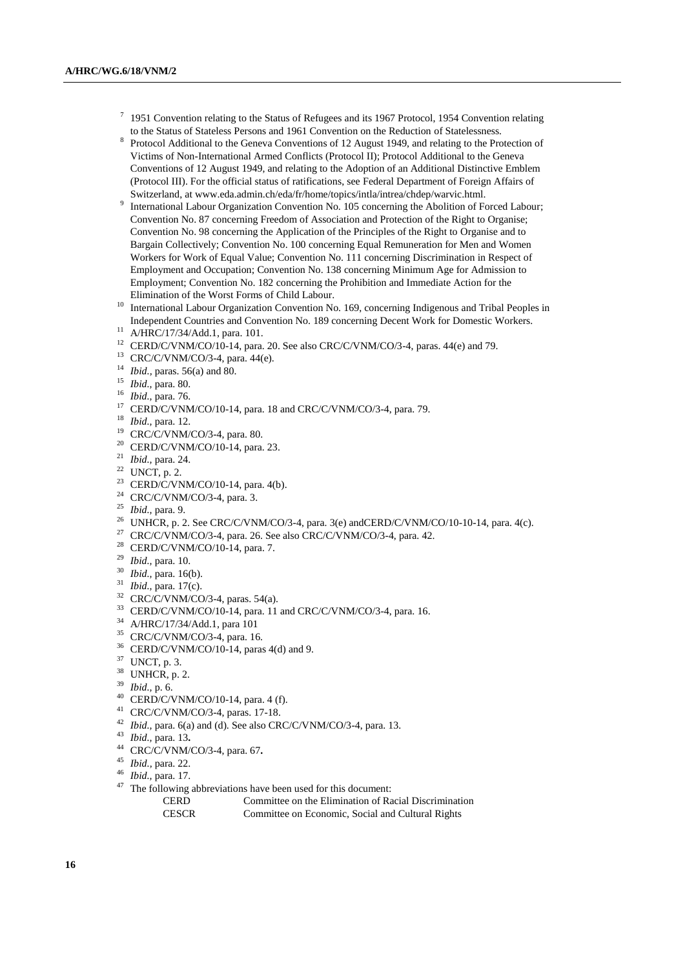- 7 1951 Convention relating to the Status of Refugees and its 1967 Protocol, 1954 Convention relating to the Status of Stateless Persons and 1961 Convention on the Reduction of Statelessness.
- 8 Protocol Additional to the Geneva Conventions of 12 August 1949, and relating to the Protection of Victims of Non-International Armed Conflicts (Protocol II); Protocol Additional to the Geneva Conventions of 12 August 1949, and relating to the Adoption of an Additional Distinctive Emblem (Protocol III). For the official status of ratifications, see Federal Department of Foreign Affairs of Switzerland, at www.eda.admin.ch/eda/fr/home/topics/intla/intrea/chdep/warvic.html.
- 9 International Labour Organization Convention No. 105 concerning the Abolition of Forced Labour; Convention No. 87 concerning Freedom of Association and Protection of the Right to Organise; Convention No. 98 concerning the Application of the Principles of the Right to Organise and to Bargain Collectively; Convention No. 100 concerning Equal Remuneration for Men and Women Workers for Work of Equal Value; Convention No. 111 concerning Discrimination in Respect of Employment and Occupation; Convention No. 138 concerning Minimum Age for Admission to Employment; Convention No. 182 concerning the Prohibition and Immediate Action for the Elimination of the Worst Forms of Child Labour.
- <sup>10</sup> International Labour Organization Convention No. 169, concerning Indigenous and Tribal Peoples in Independent Countries and Convention No. 189 concerning Decent Work for Domestic Workers.
- <sup>11</sup> A/HRC/17/34/Add.1, para. 101.
- <sup>12</sup> CERD/C/VNM/CO/10-14, para. 20. See also CRC/C/VNM/CO/3-4, paras. 44(e) and 79.
- <sup>13</sup> CRC/C/VNM/CO/3-4, para. 44(e).
- <sup>14</sup> *Ibid.,* paras. 56(a) and 80.
- <sup>15</sup> *Ibid.,* para. 80.
- <sup>16</sup> *Ibid.,* para. 76.
- <sup>17</sup> CERD/C/VNM/CO/10-14, para. 18 and CRC/C/VNM/CO/3-4, para. 79.
- <sup>18</sup> *Ibid.,* para. 12.
- <sup>19</sup> CRC/C/VNM/CO/3-4, para. 80.<br><sup>20</sup> CERD/C/VNM/CO/10.14, para.
- CERD/C/VNM/CO/10-14, para. 23.
- <sup>21</sup> *Ibid.,* para. 24.
- <sup>22</sup> UNCT, p. 2.
- <sup>23</sup> CERD/C/VNM/CO/10-14, para. 4(b).
- <sup>24</sup> CRC/C/VNM/CO/3-4, para. 3.
- <sup>25</sup> *Ibid.,* para. 9.
- <sup>26</sup> UNHCR, p. 2. See CRC/C/VNM/CO/3-4, para. 3(e) andCERD/C/VNM/CO/10-10-14, para. 4(c).
- <sup>27</sup> CRC/C/VNM/CO/3-4, para. 26. See also CRC/C/VNM/CO/3-4, para. 42.
- <sup>28</sup> CERD/C/VNM/CO/10-14, para. 7.
- <sup>29</sup> *Ibid.,* para. 10.
- <sup>30</sup> *Ibid.,* para. 16(b).
- <sup>31</sup> *Ibid.,* para. 17(c).
- $32$  CRC/C/VNM/CO/3-4, paras. 54(a).
- <sup>33</sup> CERD/C/VNM/CO/10-14, para. 11 and CRC/C/VNM/CO/3-4, para. 16.
- <sup>34</sup> A/HRC/17/34/Add.1, para 101
- <sup>35</sup> CRC/C/VNM/CO/3-4, para. 16.
- $36$  CERD/C/VNM/CO/10-14, paras 4(d) and 9.
- <sup>37</sup> UNCT, p. 3.
- <sup>38</sup> UNHCR, p. 2.
- <sup>39</sup> *Ibid.,* p. 6.
- <sup>40</sup> CERD/C/VNM/CO/10-14, para. 4 (f).
- <sup>41</sup> CRC/C/VNM/CO/3-4, paras. 17-18.
- <sup>42</sup> *Ibid.,* para. 6(a) and (d). See also CRC/C/VNM/CO/3-4, para. 13.
- <sup>43</sup> *Ibid.,* para. 13**.**
- <sup>44</sup> CRC/C/VNM/CO/3-4, para. 67.<br><sup>45</sup> Ibid. para. 22
- <sup>45</sup> *Ibid.*, para. 22.<br><sup>46</sup> *Ibid.* para. 17
- <sup>46</sup> *Ibid.,* para. 17.
	- The following abbreviations have been used for this document:
		- CERD Committee on the Elimination of Racial Discrimination
		- CESCR Committee on Economic, Social and Cultural Rights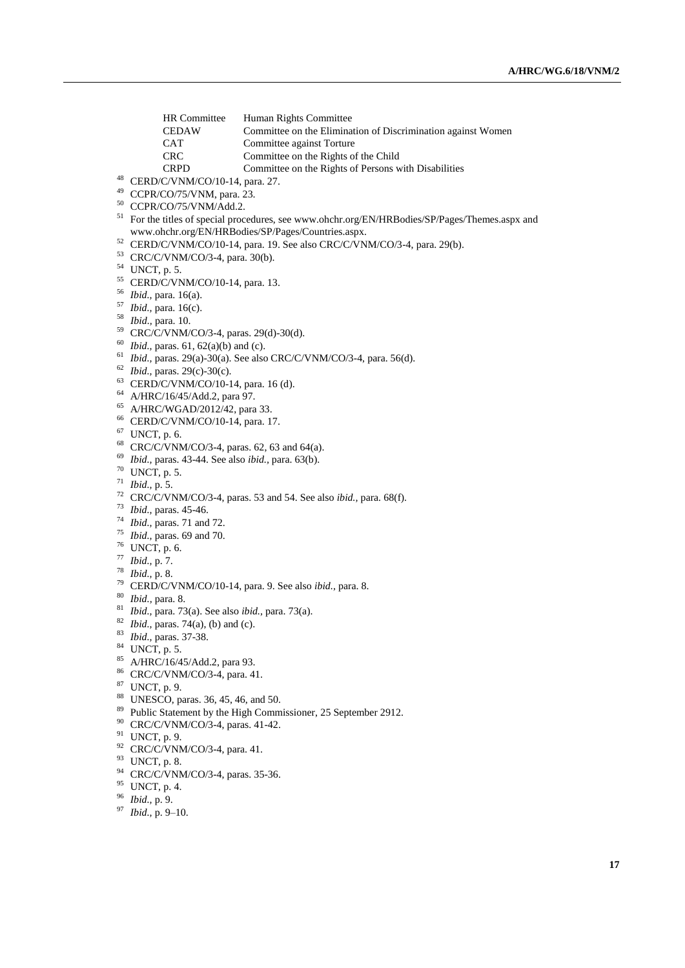- HR Committee Human Rights Committee<br>CEDAW Committee on the Elimina
- CEDAW Committee on the Elimination of Discrimination against Women<br>CAT Committee against Torture
- Committee against Torture
- CRC Committee on the Rights of the Child<br>
Committee on the Rights of Persons w
	- Committee on the Rights of Persons with Disabilities
- CERD/C/VNM/CO/10-14, para. 27.
- CCPR/CO/75/VNM, para. 23.
- CCPR/CO/75/VNM/Add.2.
- For the titles of special procedures, see [www.ohchr.org/EN/HRBodies/SP/Pages/Themes.aspx](http://www.ohchr.org/EN/HRBodies/SP/Pages/Themes.aspx) and [www.ohchr.org/EN/HRBodies/SP/Pages/Countries.aspx.](http://www.ohchr.org/EN/HRBodies/SP/Pages/Countries.aspx)
- CERD/C/VNM/CO/10-14, para. 19. See also CRC/C/VNM/CO/3-4, para. 29(b).
- CRC/C/VNM/CO/3-4, para. 30(b).
- UNCT, p. 5.
- CERD/C/VNM/CO/10-14, para. 13.
- *Ibid.,* para. 16(a).
- *Ibid.,* para. 16(c).
- *Ibid.,* para. 10.
- CRC/C/VNM/CO/3-4, paras. 29(d)-30(d).
- *Ibid.,* paras. 61, 62(a)(b) and (c).
- *Ibid.,* paras. 29(a)-30(a). See also CRC/C/VNM/CO/3-4, para. 56(d).
- *Ibid.,* paras. 29(c)-30(c).
- CERD/C/VNM/CO/10-14, para. 16 (d).
- A/HRC/16/45/Add.2, para 97.
- A/HRC/WGAD/2012/42, para 33.
- CERD/C/VNM/CO/10-14, para. 17.
- UNCT, p. 6.
- CRC/C/VNM/CO/3-4, paras. 62, 63 and 64(a).
- *Ibid.,* paras. 43-44. See also *ibid.,* para. 63(b).
- UNCT, p. 5.
- *Ibid.,* p. 5.
- CRC/C/VNM/CO/3-4, paras. 53 and 54. See also *ibid.,* para. 68(f).
- *Ibid.,* paras. 45-46.
- *Ibid.,* paras. 71 and 72.
- *Ibid.,* paras. 69 and 70.
- UNCT, p. 6.
- *Ibid.,* p. 7.
- *Ibid.,* p. 8.
- CERD/C/VNM/CO/10-14, para. 9. See also *ibid.,* para. 8.
- *Ibid.,* para. 8.
- *Ibid.,* para. 73(a). See also *ibid.,* para. 73(a).
- *Ibid.,* paras. 74(a), (b) and (c).
- *Ibid.,* paras. 37-38.
- UNCT, p. 5.
- A/HRC/16/45/Add.2, para 93.
- CRC/C/VNM/CO/3-4, para. 41.
- UNCT, p. 9.
- UNESCO, paras. 36, 45, 46, and 50.
- <sup>89</sup> Public Statement by the High Commissioner, 25 September 2912.
- CRC/C/VNM/CO/3-4, paras. 41-42.
- UNCT, p. 9.
- CRC/C/VNM/CO/3-4, para. 41.
- UNCT, p. 8.
- CRC/C/VNM/CO/3-4, paras. 35-36.
- UNCT, p. 4.
- *Ibid.,* p. 9.
- *Ibid.,* p. 9–10.